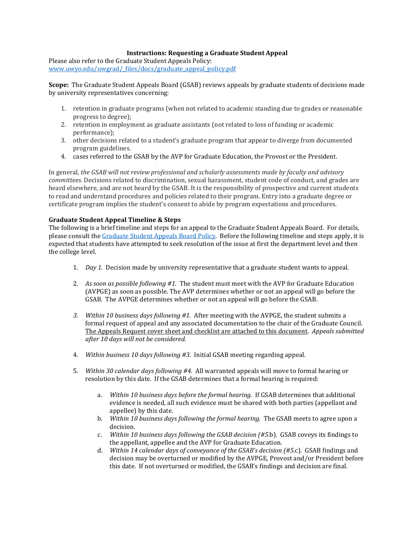## **Instructions: Requesting a Graduate Student Appeal**

Please also refer to the Graduate Student Appeals Policy: [www.uwyo.edu/uwgrad/\\_files/docs/graduate\\_appeal\\_policy.pdf](http://www.uwyo.edu/uwgrad/_files/docs/graduate_appeal_policy.pdf)

**Scope:** The Graduate Student Appeals Board (GSAB) reviews appeals by graduate students of decisions made by university representatives concerning:

- 1. retention in graduate programs (when not related to academic standing due to grades or reasonable progress to degree);
- 2. retention in employment as graduate assistants (not related to loss of funding or academic performance);
- 3. other decisions related to a student's graduate program that appear to diverge from documented program guidelines.
- 4. cases referred to the GSAB by the AVP for Graduate Education, the Provost or the President.

In general, *the GSAB will not review professional and scholarly assessments made by faculty and advisory committees.* Decisions related to discrimination, sexual harassment, student code of conduct, and grades are heard elsewhere, and are not heard by the GSAB. It is the responsibility of prospective and current students to read and understand procedures and policies related to their program. Entry into a graduate degree or certificate program implies the student's consent to abide by program expectations and procedures.

## **Graduate Student Appeal Timeline & Steps**

The following is a brief timeline and steps for an appeal to the Graduate Student Appeals Board. For details, please consult the [Graduate Student Appeals Board Policy.](http://www.uwyo.edu/uwgrad/_files/docs/graduate_appeal_policy.pdf) Before the following timeline and steps apply, it is expected that students have attempted to seek resolution of the issue at first the department level and then the college level.

- 1. *Day 1.* Decision made by university representative that a graduate student wants to appeal.
- 2. *As soon as possible following #1*. The student must meet with the AVP for Graduate Education (AVPGE) as soon as possible. The AVP determines whether or not an appeal will go before the GSAB. The AVPGE determines whether or not an appeal will go before the GSAB.
- *3. Within 10 business days following #1.* After meeting with the AVPGE, the student submits a formal request of appeal and any associated documentation to the chair of the Graduate Council. The Appeals Request cover sheet and checklist are attached to this document. *Appeals submitted after 10 days will not be considered.*
- 4. *Within business 10 days following #3.* Initial GSAB meeting regarding appeal.
- 5. *Within 30 calendar days following #4.* All warranted appeals will move to formal hearing or resolution by this date. If the GSAB determines that a formal hearing is required:
	- a. *Within 10 business days before the formal hearing*. If GSAB determines that additional evidence is needed, all such evidence must be shared with both parties (appellant and appellee) by this date.
	- b. *Within 10 business days following the formal hearing*. The GSAB meets to agree upon a decision.
	- c. *Within 10 business days following the GSAB decision (#5*.b). GSAB coveys its findings to the appellant, appellee and the AVP for Graduate Education.
	- d. *Within 14 calendar days of conveyance of the GSAB's decision (#5*.c). GSAB findings and decision may be overturned or modified by the AVPGE, Provost and/or President before this date. If not overturned or modified, the GSAB's findings and decision are final.